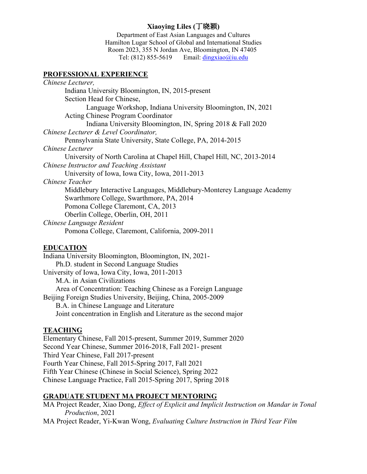# **Xiaoying Liles (**丁晓颖**)**

Department of East Asian Languages and Cultures Hamilton Lugar School of Global and International Studies Room 2023, 355 N Jordan Ave, Bloomington, IN 47405 Tel:  $(812)$  855-5619 Email: [dingxiao@iu.edu](mailto:dingxiao@iu.edu)

#### **PROFESSIONAL EXPERIENCE**

| Chinese Lecturer,                                                       |
|-------------------------------------------------------------------------|
| Indiana University Bloomington, IN, 2015-present                        |
| Section Head for Chinese,                                               |
| Language Workshop, Indiana University Bloomington, IN, 2021             |
| <b>Acting Chinese Program Coordinator</b>                               |
| Indiana University Bloomington, IN, Spring 2018 & Fall 2020             |
| Chinese Lecturer & Level Coordinator,                                   |
| Pennsylvania State University, State College, PA, 2014-2015             |
| Chinese Lecturer                                                        |
| University of North Carolina at Chapel Hill, Chapel Hill, NC, 2013-2014 |
| Chinese Instructor and Teaching Assistant                               |
| University of Iowa, Iowa City, Iowa, 2011-2013                          |
| Chinese Teacher                                                         |
| Middlebury Interactive Languages, Middlebury-Monterey Language Academy  |
| Swarthmore College, Swarthmore, PA, 2014                                |
| Pomona College Claremont, CA, 2013                                      |
| Oberlin College, Oberlin, OH, 2011                                      |
| Chinese Language Resident                                               |
| Pomona College, Claremont, California, 2009-2011                        |
|                                                                         |

## **EDUCATION**

Indiana University Bloomington, Bloomington, IN, 2021- Ph.D. student in Second Language Studies University of Iowa, Iowa City, Iowa, 2011-2013 M.A. in Asian Civilizations Area of Concentration: Teaching Chinese as a Foreign Language Beijing Foreign Studies University, Beijing, China, 2005-2009 B.A. in Chinese Language and Literature Joint concentration in English and Literature as the second major

### **TEACHING**

Elementary Chinese, Fall 2015-present, Summer 2019, Summer 2020 Second Year Chinese, Summer 2016-2018, Fall 2021- present Third Year Chinese, Fall 2017-present Fourth Year Chinese, Fall 2015-Spring 2017, Fall 2021 Fifth Year Chinese (Chinese in Social Science), Spring 2022 Chinese Language Practice, Fall 2015-Spring 2017, Spring 2018

## **GRADUATE STUDENT MA PROJECT MENTORING**

MA Project Reader, Xiao Dong, *Effect of Explicit and Implicit Instruction on Mandar in Tonal Production*, 2021

MA Project Reader, Yi-Kwan Wong, *Evaluating Culture Instruction in Third Year Film*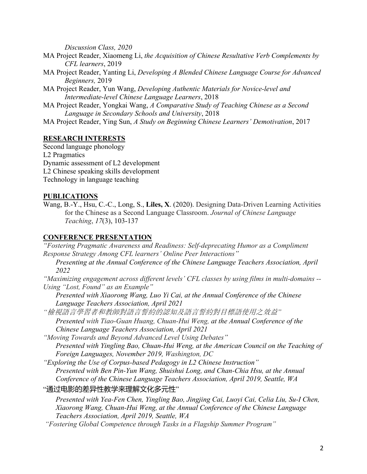*Discussion Class, 2020*

- MA Project Reader, Xiaomeng Li, *the Acquisition of Chinese Resultative Verb Complements by CFL learners*, 2019
- MA Project Reader, Yanting Li, *Developing A Blended Chinese Language Course for Advanced Beginners,* 2019
- MA Project Reader, Yun Wang, *Developing Authentic Materials for Novice-level and Intermediate-level Chinese Language Learners*, 2018
- MA Project Reader, Yongkai Wang, *A Comparative Study of Teaching Chinese as a Second Language in Secondary Schools and University*, 2018

MA Project Reader, Ying Sun, *A Study on Beginning Chinese Learners' Demotivation*, 2017

# **RESEARCH INTERESTS**

Second language phonology L2 Pragmatics Dynamic assessment of L2 development L2 Chinese speaking skills development Technology in language teaching

## **PUBLICATIONS**

Wang, B.-Y., Hsu, C.-C., Long, S., **Liles, X**. (2020). Designing Data-Driven Learning Activities for the Chinese as a Second Language Classroom. *Journal of Chinese Language Teaching*, *17*(3), 103-137

# **CONFERENCE PRESENTATION**

*"Fostering Pragmatic Awareness and Readiness: Self-deprecating Humor as a Compliment Response Strategy Among CFL learners' Online Peer Interactions"*

*Presenting at the Annual Conference of the Chinese Language Teachers Association, April 2022*

*"Maximizing engagement across different levels' CFL classes by using films in multi-domains -- Using "Lost, Found" as an Example"*

*Presented with Xiaorong Wang, Luo Yi Cai, at the Annual Conference of the Chinese Language Teachers Association, April 2021*

*"*檢視語言學習者和教師對語言誓約的認知及語言誓約對目標語使用之效益*" Presented with Tiao-Guan Huang, Chuan-Hui Weng, at the Annual Conference of the Chinese Language Teachers Association, April 2021*

*"Moving Towards and Beyond Advanced Level Using Debates" Presented with Yingling Bao, Chuan-Hui Weng, at the American Council on the Teaching of Foreign Languages, November 2019, Washington, DC*

*"Exploring the Use of Corpus-based Pedagogy in L2 Chinese Instruction" Presented with Ben Pin-Yun Wang, Shuishui Long, and Chan-Chia Hsu, at the Annual Conference of the Chinese Language Teachers Association, April 2019, Seattle, WA*

## "通过电影的差异性教学来理解文化多元性"

*Presented with Yea-Fen Chen, Yingling Bao, Jingjing Cai, Luoyi Cai, Celia Liu, Su-I Chen, Xiaorong Wang, Chuan-Hui Weng, at the Annual Conference of the Chinese Language Teachers Association, April 2019, Seattle, WA*

*"Fostering Global Competence through Tasks in a Flagship Summer Program"*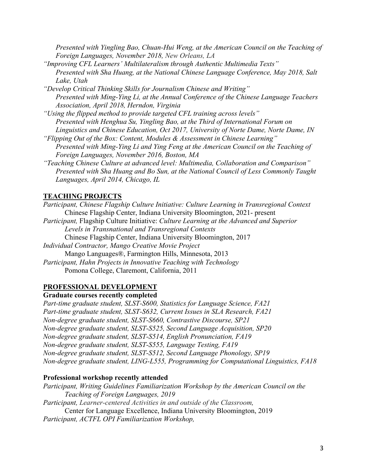*Presented with Yingling Bao, Chuan-Hui Weng, at the American Council on the Teaching of Foreign Languages, November 2018, New Orleans, LA*

- *"Improving CFL Learners' Multilateralism through Authentic Multimedia Texts" Presented with Sha Huang, at the National Chinese Language Conference, May 2018, Salt Lake, Utah*
- *"Develop Critical Thinking Skills for Journalism Chinese and Writing" Presented with Ming-Ying Li, at the Annual Conference of the Chinese Language Teachers Association, April 2018, Herndon, Virginia*

*"Using the flipped method to provide targeted CFL training across levels" Presented with Henghua Su, Yingling Bao, at the Third of International Forum on Linguistics and Chinese Education, Oct 2017, University of Norte Dame, Norte Dame, IN*

- *"Flipping Out of the Box: Content, Modules & Assessment in Chinese Learning" Presented with Ming-Ying Li and Ying Feng at the American Council on the Teaching of Foreign Languages, November 2016, Boston, MA*
- *"Teaching Chinese Culture at advanced level: Multimedia, Collaboration and Comparison" Presented with Sha Huang and Bo Sun, at the National Council of Less Commonly Taught Languages, April 2014, Chicago, IL*

# **TEACHING PROJECTS**

*Participant, Chinese Flagship Culture Initiative: Culture Learning in Transregional Context* Chinese Flagship Center, Indiana University Bloomington, 2021- present *Participant,* Flagship Culture Initiative: *Culture Learning at the Advanced and Superior Levels in Transnational and Transregional Contexts* Chinese Flagship Center, Indiana University Bloomington, 2017 *Individual Contractor, Mango Creative Movie Project* Mango Languages®, Farmington Hills, Minnesota, 2013 *Participant, Hahn Projects in Innovative Teaching with Technology* Pomona College, Claremont, California, 2011

# **PROFESSIONAL DEVELOPMENT**

**Graduate courses recently completed**

*Part-time graduate student, SLST-S600, Statistics for Language Science, FA21 Part-time graduate student, SLST-S632, Current Issues in SLA Research, FA21 Non-degree graduate student, SLST-S660, Contrastive Discourse, SP21 Non-degree graduate student, SLST-S525, Second Language Acquisition, SP20 Non-degree graduate student, SLST-S514, English Pronunciation, FA19 Non-degree graduate student, SLST-S555, Language Testing, FA19 Non-degree graduate student, SLST-S512, Second Language Phonology, SP19 Non-degree graduate student, LING-L555, Programming for Computational Linguistics, FA18*

## **Professional workshop recently attended**

*Participant, Writing Guidelines Familiarization Workshop by the American Council on the Teaching of Foreign Languages, 2019 Participant, Learner-centered Activities in and outside of the Classroom,* Center for Language Excellence, Indiana University Bloomington, 2019 *Participant, ACTFL OPI Familiarization Workshop,*